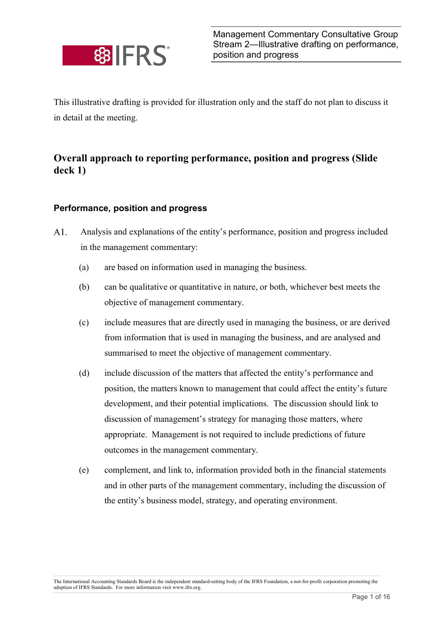

This illustrative drafting is provided for illustration only and the staff do not plan to discuss it in detail at the meeting.

## Overall approach to reporting performance, position and progress (Slide deck 1)

## Performance, position and progress

- $A1.$ Analysis and explanations of the entity's performance, position and progress included in the management commentary:
	- (a) are based on information used in managing the business.
	- (b) can be qualitative or quantitative in nature, or both, whichever best meets the objective of management commentary.
	- (c) include measures that are directly used in managing the business, or are derived from information that is used in managing the business, and are analysed and summarised to meet the objective of management commentary.
	- (d) include discussion of the matters that affected the entity's performance and position, the matters known to management that could affect the entity's future development, and their potential implications. The discussion should link to discussion of management's strategy for managing those matters, where appropriate. Management is not required to include predictions of future outcomes in the management commentary.
	- (e) complement, and link to, information provided both in the financial statements and in other parts of the management commentary, including the discussion of the entity's business model, strategy, and operating environment.

The International Accounting Standards Board is the independent standard-setting body of the IFRS Foundation, a not-for-profit corporation promoting the adoption of IFRS Standards. For more information visit www.ifrs.org.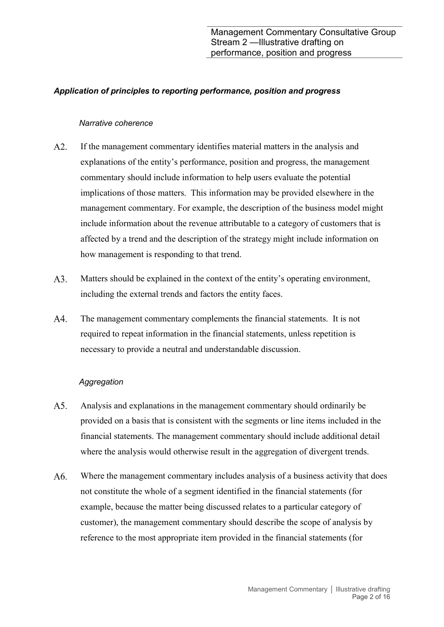## Application of principles to reporting performance, position and progress

#### Narrative coherence

- $A2.$ If the management commentary identifies material matters in the analysis and explanations of the entity's performance, position and progress, the management commentary should include information to help users evaluate the potential implications of those matters. This information may be provided elsewhere in the management commentary. For example, the description of the business model might include information about the revenue attributable to a category of customers that is affected by a trend and the description of the strategy might include information on how management is responding to that trend.
- A3. Matters should be explained in the context of the entity's operating environment, including the external trends and factors the entity faces.
- A4. The management commentary complements the financial statements. It is not required to repeat information in the financial statements, unless repetition is necessary to provide a neutral and understandable discussion.

#### **Aggregation**

- $A5.$ Analysis and explanations in the management commentary should ordinarily be provided on a basis that is consistent with the segments or line items included in the financial statements. The management commentary should include additional detail where the analysis would otherwise result in the aggregation of divergent trends.
- A6. Where the management commentary includes analysis of a business activity that does not constitute the whole of a segment identified in the financial statements (for example, because the matter being discussed relates to a particular category of customer), the management commentary should describe the scope of analysis by reference to the most appropriate item provided in the financial statements (for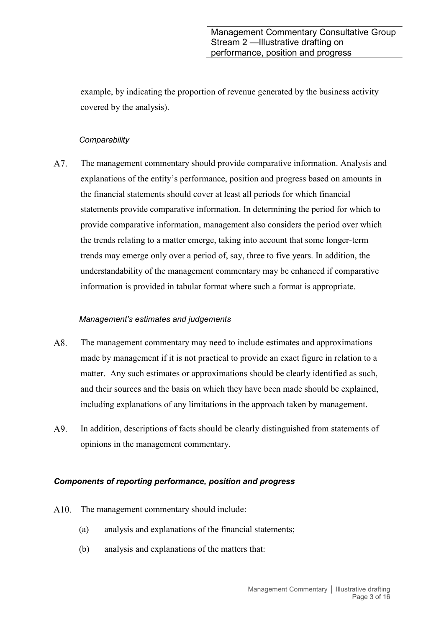example, by indicating the proportion of revenue generated by the business activity covered by the analysis).

## **Comparability**

A7. The management commentary should provide comparative information. Analysis and explanations of the entity's performance, position and progress based on amounts in the financial statements should cover at least all periods for which financial statements provide comparative information. In determining the period for which to provide comparative information, management also considers the period over which the trends relating to a matter emerge, taking into account that some longer-term trends may emerge only over a period of, say, three to five years. In addition, the understandability of the management commentary may be enhanced if comparative information is provided in tabular format where such a format is appropriate.

## Management's estimates and judgements

- A8. The management commentary may need to include estimates and approximations made by management if it is not practical to provide an exact figure in relation to a matter. Any such estimates or approximations should be clearly identified as such, and their sources and the basis on which they have been made should be explained, including explanations of any limitations in the approach taken by management.
- A9. In addition, descriptions of facts should be clearly distinguished from statements of opinions in the management commentary.

## Components of reporting performance, position and progress

- A10. The management commentary should include:
	- (a) analysis and explanations of the financial statements;
	- (b) analysis and explanations of the matters that: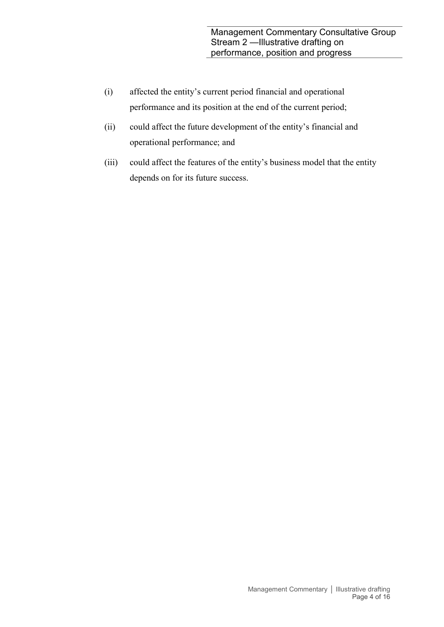- (i) affected the entity's current period financial and operational performance and its position at the end of the current period;
- (ii) could affect the future development of the entity's financial and operational performance; and
- (iii) could affect the features of the entity's business model that the entity depends on for its future success.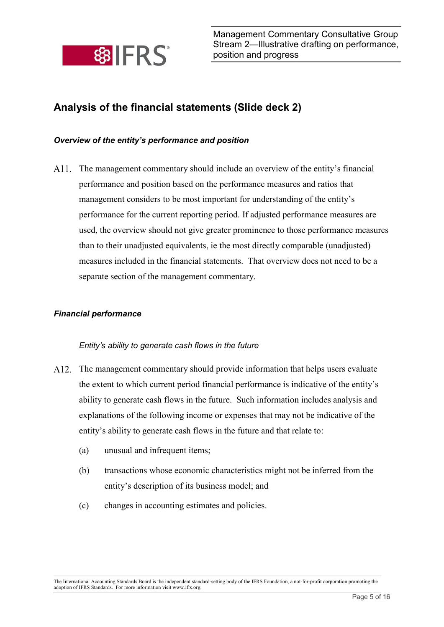

# Analysis of the financial statements (Slide deck 2)

## Overview of the entity's performance and position

The management commentary should include an overview of the entity's financial performance and position based on the performance measures and ratios that management considers to be most important for understanding of the entity's performance for the current reporting period. If adjusted performance measures are used, the overview should not give greater prominence to those performance measures than to their unadjusted equivalents, ie the most directly comparable (unadjusted) measures included in the financial statements. That overview does not need to be a separate section of the management commentary.

## Financial performance

## Entity's ability to generate cash flows in the future

- A12. The management commentary should provide information that helps users evaluate the extent to which current period financial performance is indicative of the entity's ability to generate cash flows in the future. Such information includes analysis and explanations of the following income or expenses that may not be indicative of the entity's ability to generate cash flows in the future and that relate to:
	- (a) unusual and infrequent items;
	- (b) transactions whose economic characteristics might not be inferred from the entity's description of its business model; and
	- (c) changes in accounting estimates and policies.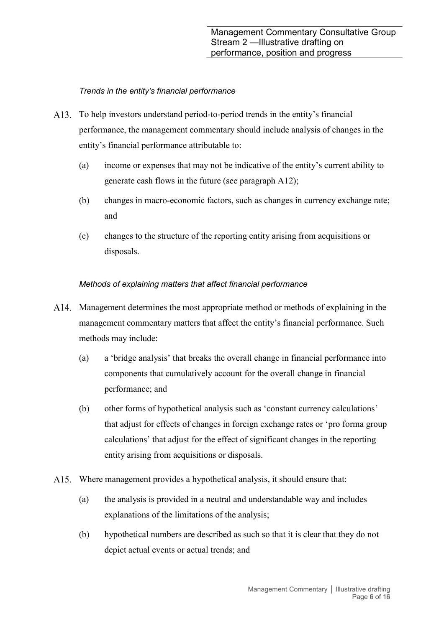## Trends in the entity's financial performance

- To help investors understand period-to-period trends in the entity's financial performance, the management commentary should include analysis of changes in the entity's financial performance attributable to:
	- (a) income or expenses that may not be indicative of the entity's current ability to generate cash flows in the future (see paragraph A12);
	- (b) changes in macro-economic factors, such as changes in currency exchange rate; and
	- (c) changes to the structure of the reporting entity arising from acquisitions or disposals.

## Methods of explaining matters that affect financial performance

- A. Management determines the most appropriate method or methods of explaining in the management commentary matters that affect the entity's financial performance. Such methods may include:
	- (a) a 'bridge analysis' that breaks the overall change in financial performance into components that cumulatively account for the overall change in financial performance; and
	- (b) other forms of hypothetical analysis such as 'constant currency calculations' that adjust for effects of changes in foreign exchange rates or 'pro forma group calculations' that adjust for the effect of significant changes in the reporting entity arising from acquisitions or disposals.
- A15. Where management provides a hypothetical analysis, it should ensure that:
	- (a) the analysis is provided in a neutral and understandable way and includes explanations of the limitations of the analysis;
	- (b) hypothetical numbers are described as such so that it is clear that they do not depict actual events or actual trends; and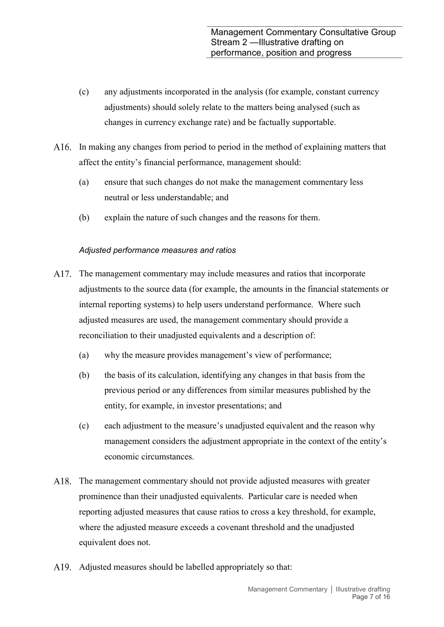- (c) any adjustments incorporated in the analysis (for example, constant currency adjustments) should solely relate to the matters being analysed (such as changes in currency exchange rate) and be factually supportable.
- A16. In making any changes from period to period in the method of explaining matters that affect the entity's financial performance, management should:
	- (a) ensure that such changes do not make the management commentary less neutral or less understandable; and
	- (b) explain the nature of such changes and the reasons for them.

## Adjusted performance measures and ratios

- A.17. The management commentary may include measures and ratios that incorporate adjustments to the source data (for example, the amounts in the financial statements or internal reporting systems) to help users understand performance. Where such adjusted measures are used, the management commentary should provide a reconciliation to their unadjusted equivalents and a description of:
	- (a) why the measure provides management's view of performance;
	- (b) the basis of its calculation, identifying any changes in that basis from the previous period or any differences from similar measures published by the entity, for example, in investor presentations; and
	- (c) each adjustment to the measure's unadjusted equivalent and the reason why management considers the adjustment appropriate in the context of the entity's economic circumstances.
- A18. The management commentary should not provide adjusted measures with greater prominence than their unadjusted equivalents. Particular care is needed when reporting adjusted measures that cause ratios to cross a key threshold, for example, where the adjusted measure exceeds a covenant threshold and the unadjusted equivalent does not.
- A19. Adjusted measures should be labelled appropriately so that: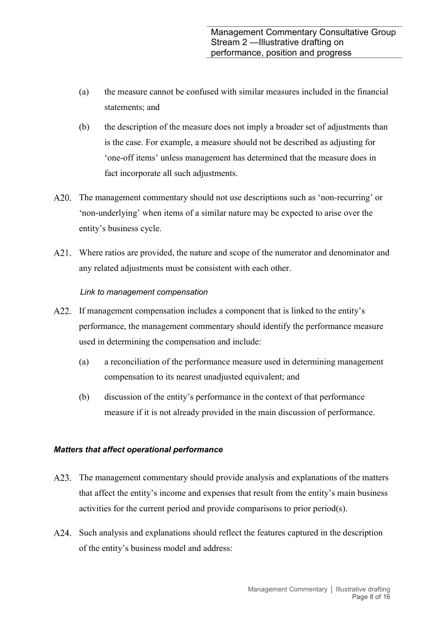- (a) the measure cannot be confused with similar measures included in the financial statements; and
- (b) the description of the measure does not imply a broader set of adjustments than is the case. For example, a measure should not be described as adjusting for 'one-off items' unless management has determined that the measure does in fact incorporate all such adjustments.
- A20. The management commentary should not use descriptions such as 'non-recurring' or 'non-underlying' when items of a similar nature may be expected to arise over the entity's business cycle.
- A21. Where ratios are provided, the nature and scope of the numerator and denominator and any related adjustments must be consistent with each other.

## Link to management compensation

- A22. If management compensation includes a component that is linked to the entity's performance, the management commentary should identify the performance measure used in determining the compensation and include:
	- (a) a reconciliation of the performance measure used in determining management compensation to its nearest unadjusted equivalent; and
	- (b) discussion of the entity's performance in the context of that performance measure if it is not already provided in the main discussion of performance.

## Matters that affect operational performance

- A23. The management commentary should provide analysis and explanations of the matters that affect the entity's income and expenses that result from the entity's main business activities for the current period and provide comparisons to prior period(s).
- A24. Such analysis and explanations should reflect the features captured in the description of the entity's business model and address: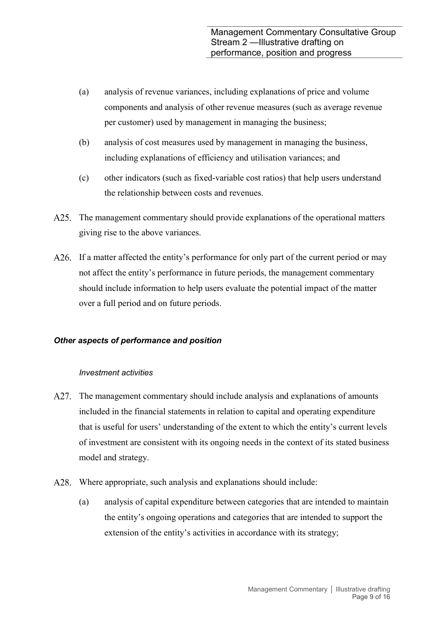- (a) analysis of revenue variances, including explanations of price and volume components and analysis of other revenue measures (such as average revenue per customer) used by management in managing the business;
- (b) analysis of cost measures used by management in managing the business, including explanations of efficiency and utilisation variances; and
- (c) other indicators (such as fixed-variable cost ratios) that help users understand the relationship between costs and revenues.
- A25. The management commentary should provide explanations of the operational matters giving rise to the above variances.
- A26. If a matter affected the entity's performance for only part of the current period or may not affect the entity's performance in future periods, the management commentary should include information to help users evaluate the potential impact of the matter over a full period and on future periods.

## Other aspects of performance and position

## Investment activities

- A27. The management commentary should include analysis and explanations of amounts included in the financial statements in relation to capital and operating expenditure that is useful for users' understanding of the extent to which the entity's current levels of investment are consistent with its ongoing needs in the context of its stated business model and strategy.
- A28. Where appropriate, such analysis and explanations should include:
	- (a) analysis of capital expenditure between categories that are intended to maintain the entity's ongoing operations and categories that are intended to support the extension of the entity's activities in accordance with its strategy;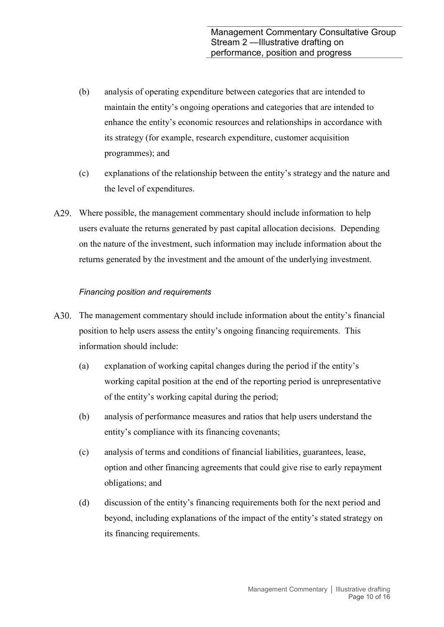- (b) analysis of operating expenditure between categories that are intended to maintain the entity's ongoing operations and categories that are intended to enhance the entity's economic resources and relationships in accordance with its strategy (for example, research expenditure, customer acquisition programmes); and
- (c) explanations of the relationship between the entity's strategy and the nature and the level of expenditures.
- A29. Where possible, the management commentary should include information to help users evaluate the returns generated by past capital allocation decisions. Depending on the nature of the investment, such information may include information about the returns generated by the investment and the amount of the underlying investment.

## Financing position and requirements

- A30. The management commentary should include information about the entity's financial position to help users assess the entity's ongoing financing requirements. This information should include:
	- (a) explanation of working capital changes during the period if the entity's working capital position at the end of the reporting period is unrepresentative of the entity's working capital during the period;
	- (b) analysis of performance measures and ratios that help users understand the entity's compliance with its financing covenants;
	- (c) analysis of terms and conditions of financial liabilities, guarantees, lease, option and other financing agreements that could give rise to early repayment obligations; and
	- (d) discussion of the entity's financing requirements both for the next period and beyond, including explanations of the impact of the entity's stated strategy on its financing requirements.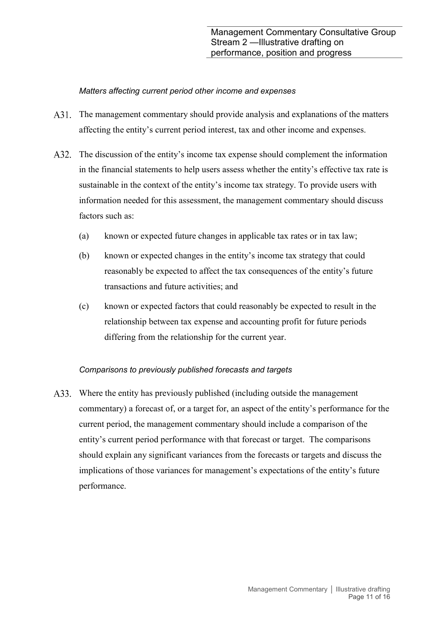## Matters affecting current period other income and expenses

- A31. The management commentary should provide analysis and explanations of the matters affecting the entity's current period interest, tax and other income and expenses.
- A32. The discussion of the entity's income tax expense should complement the information in the financial statements to help users assess whether the entity's effective tax rate is sustainable in the context of the entity's income tax strategy. To provide users with information needed for this assessment, the management commentary should discuss factors such as:
	- (a) known or expected future changes in applicable tax rates or in tax law;
	- (b) known or expected changes in the entity's income tax strategy that could reasonably be expected to affect the tax consequences of the entity's future transactions and future activities; and
	- (c) known or expected factors that could reasonably be expected to result in the relationship between tax expense and accounting profit for future periods differing from the relationship for the current year.

## Comparisons to previously published forecasts and targets

A33. Where the entity has previously published (including outside the management commentary) a forecast of, or a target for, an aspect of the entity's performance for the current period, the management commentary should include a comparison of the entity's current period performance with that forecast or target. The comparisons should explain any significant variances from the forecasts or targets and discuss the implications of those variances for management's expectations of the entity's future performance.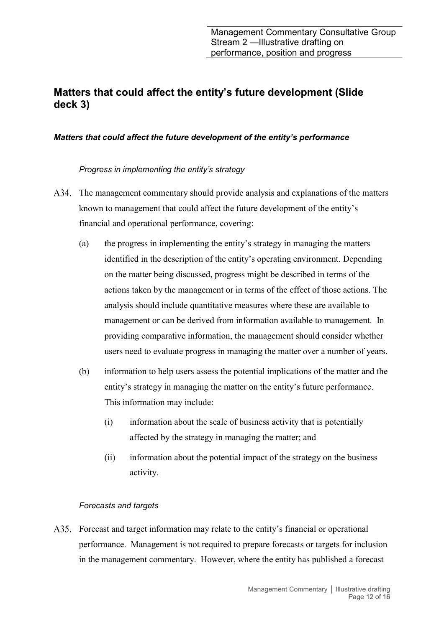## Matters that could affect the entity's future development (Slide deck 3)

## Matters that could affect the future development of the entity's performance

Progress in implementing the entity's strategy

- A34. The management commentary should provide analysis and explanations of the matters known to management that could affect the future development of the entity's financial and operational performance, covering:
	- (a) the progress in implementing the entity's strategy in managing the matters identified in the description of the entity's operating environment. Depending on the matter being discussed, progress might be described in terms of the actions taken by the management or in terms of the effect of those actions. The analysis should include quantitative measures where these are available to management or can be derived from information available to management. In providing comparative information, the management should consider whether users need to evaluate progress in managing the matter over a number of years.
	- (b) information to help users assess the potential implications of the matter and the entity's strategy in managing the matter on the entity's future performance. This information may include:
		- (i) information about the scale of business activity that is potentially affected by the strategy in managing the matter; and
		- (ii) information about the potential impact of the strategy on the business activity.

## Forecasts and targets

Forecast and target information may relate to the entity's financial or operational performance. Management is not required to prepare forecasts or targets for inclusion in the management commentary. However, where the entity has published a forecast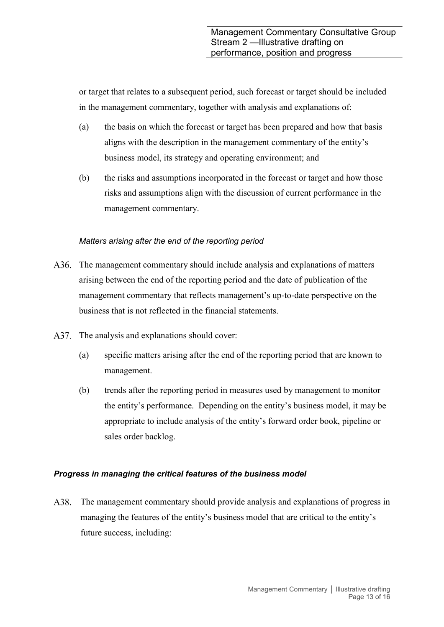or target that relates to a subsequent period, such forecast or target should be included in the management commentary, together with analysis and explanations of:

- (a) the basis on which the forecast or target has been prepared and how that basis aligns with the description in the management commentary of the entity's business model, its strategy and operating environment; and
- (b) the risks and assumptions incorporated in the forecast or target and how those risks and assumptions align with the discussion of current performance in the management commentary.

## Matters arising after the end of the reporting period

- A36. The management commentary should include analysis and explanations of matters arising between the end of the reporting period and the date of publication of the management commentary that reflects management's up-to-date perspective on the business that is not reflected in the financial statements.
- A37. The analysis and explanations should cover:
	- (a) specific matters arising after the end of the reporting period that are known to management.
	- (b) trends after the reporting period in measures used by management to monitor the entity's performance. Depending on the entity's business model, it may be appropriate to include analysis of the entity's forward order book, pipeline or sales order backlog.

## Progress in managing the critical features of the business model

A38. The management commentary should provide analysis and explanations of progress in managing the features of the entity's business model that are critical to the entity's future success, including: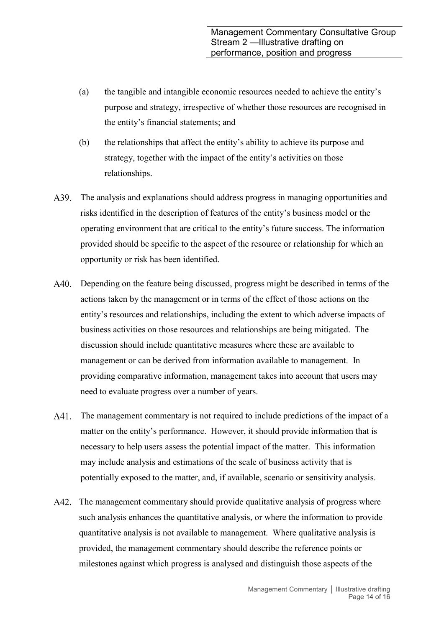- (a) the tangible and intangible economic resources needed to achieve the entity's purpose and strategy, irrespective of whether those resources are recognised in the entity's financial statements; and
- (b) the relationships that affect the entity's ability to achieve its purpose and strategy, together with the impact of the entity's activities on those relationships.
- A39. The analysis and explanations should address progress in managing opportunities and risks identified in the description of features of the entity's business model or the operating environment that are critical to the entity's future success. The information provided should be specific to the aspect of the resource or relationship for which an opportunity or risk has been identified.
- Depending on the feature being discussed, progress might be described in terms of the actions taken by the management or in terms of the effect of those actions on the entity's resources and relationships, including the extent to which adverse impacts of business activities on those resources and relationships are being mitigated. The discussion should include quantitative measures where these are available to management or can be derived from information available to management. In providing comparative information, management takes into account that users may need to evaluate progress over a number of years.
- A41. The management commentary is not required to include predictions of the impact of a matter on the entity's performance. However, it should provide information that is necessary to help users assess the potential impact of the matter. This information may include analysis and estimations of the scale of business activity that is potentially exposed to the matter, and, if available, scenario or sensitivity analysis.
- A42. The management commentary should provide qualitative analysis of progress where such analysis enhances the quantitative analysis, or where the information to provide quantitative analysis is not available to management. Where qualitative analysis is provided, the management commentary should describe the reference points or milestones against which progress is analysed and distinguish those aspects of the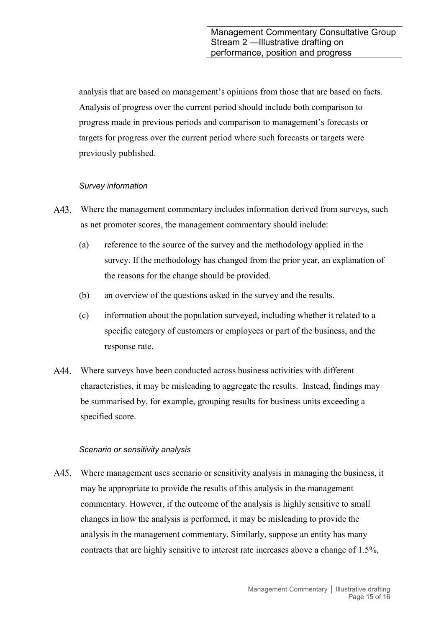analysis that are based on management's opinions from those that are based on facts. Analysis of progress over the current period should include both comparison to progress made in previous periods and comparison to management's forecasts or targets for progress over the current period where such forecasts or targets were previously published.

## Survey information

- A43. Where the management commentary includes information derived from surveys, such as net promoter scores, the management commentary should include:
	- (a) reference to the source of the survey and the methodology applied in the survey. If the methodology has changed from the prior year, an explanation of the reasons for the change should be provided.
	- (b) an overview of the questions asked in the survey and the results.
	- (c) information about the population surveyed, including whether it related to a specific category of customers or employees or part of the business, and the response rate.
- A44. Where surveys have been conducted across business activities with different characteristics, it may be misleading to aggregate the results. Instead, findings may be summarised by, for example, grouping results for business units exceeding a specified score.

## Scenario or sensitivity analysis

A45. Where management uses scenario or sensitivity analysis in managing the business, it may be appropriate to provide the results of this analysis in the management commentary. However, if the outcome of the analysis is highly sensitive to small changes in how the analysis is performed, it may be misleading to provide the analysis in the management commentary. Similarly, suppose an entity has many contracts that are highly sensitive to interest rate increases above a change of 1.5%,